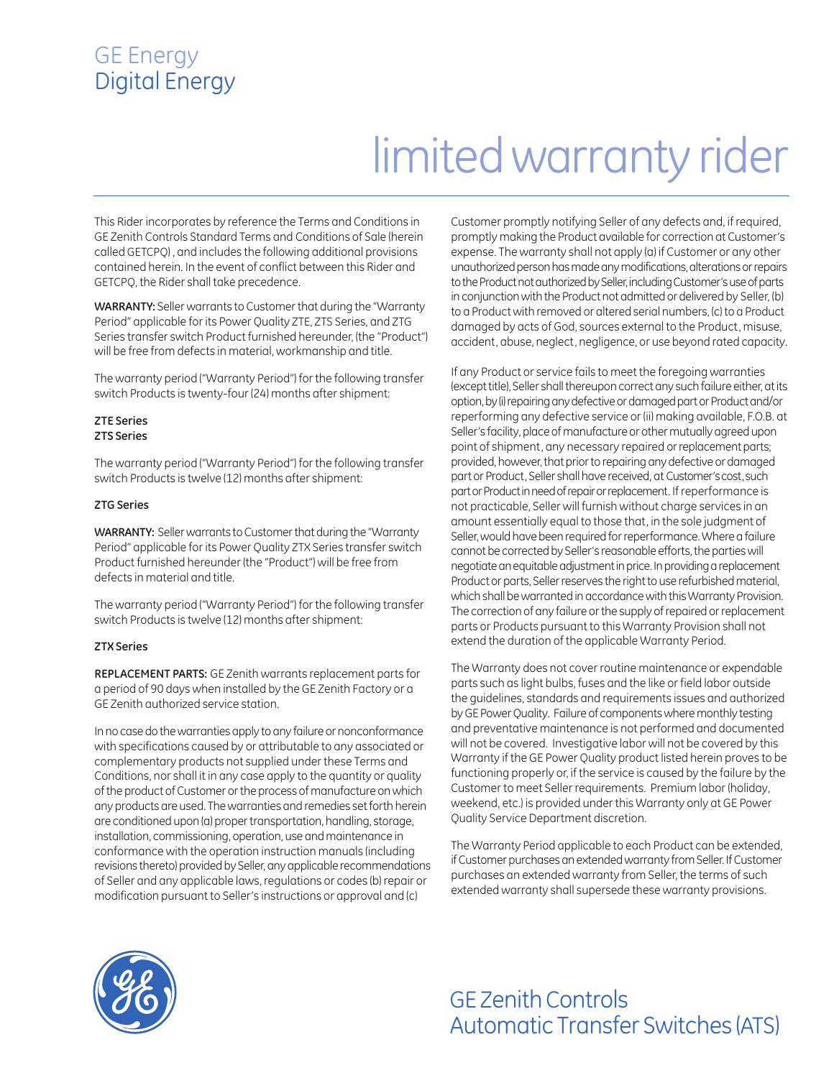### GE Energy Digital Energy

## limited warranty rider

This Rider incorporates by reference the Terms and Conditions in GE Zenith Controls Standard Terms and Conditions of Sale (herein called GETCPQ) , and includes the following additional provisions contained herein. In the event of conflict between this Rider and GETCPQ, the Rider shall take precedence.

**WARRANTY:** Seller warrants to Customer that during the "Warranty Period" applicable for its Power Quality ZTE, ZTS Series, and ZTG Series transfer switch Product furnished hereunder, (the "Product") will be free from defects in material, workmanship and title.

The warranty period ("Warranty Period") for the following transfer switch Products is twenty-four (24) months after shipment:

#### **ZTE Series ZTS Series**

The warranty period ("Warranty Period") for the following transfer switch Products is twelve (12) months after shipment:

#### **ZTG Series**

**WARRANTY:** Seller warrants to Customer that during the "Warranty Period" applicable for its Power Quality ZTX Series transfer switch Product furnished hereunder (the "Product") will be free from defects in material and title.

The warranty period ("Warranty Period") for the following transfer switch Products is twelve (12) months after shipment:

#### **ZTX Series**

**REPLACEMENT PARTS:** GE Zenith warrants replacement parts for a period of 90 days when installed by the GE Zenith Factory or a GE Zenith authorized service station.

In no case do the warranties apply to any failure or nonconformance with specifications caused by or attributable to any associated or complementary products not supplied under these Terms and Conditions, nor shall it in any case apply to the quantity or quality of the product of Customer or the process of manufacture on which any products are used. The warranties and remedies set forth herein are conditioned upon (a) proper transportation, handling, storage, installation, commissioning, operation, use and maintenance in conformance with the operation instruction manuals (including revisions thereto) provided by Seller, any applicable recommendations of Seller and any applicable laws, regulations or codes (b) repair or modification pursuant to Seller's instructions or approval and (c)

Customer promptly notifying Seller of any defects and, if required, promptly making the Product available for correction at Customer's expense. The warranty shall not apply (a) if Customer or any other unauthorized person has made any modifications, alterations or repairs to the Product not authorized by Seller, including Customer's use of parts in conjunction with the Product not admitted or delivered by Seller, (b) to a Product with removed or altered serial numbers, (c) to a Product damaged by acts of God, sources external to the Product, misuse, accident, abuse, neglect, negligence, or use beyond rated capacity.

If any Product or service fails to meet the foregoing warranties (except title), Seller shall thereupon correct any such failure either, at its option, by (i) repairing any defective or damaged part or Product and/or reperforming any defective service or (ii) making available, F.O.B. at Seller's facility, place of manufacture or other mutually agreed upon point of shipment, any necessary repaired or replacement parts; provided, however, that prior to repairing any defective or damaged part or Product, Seller shall have received, at Customer's cost, such part or Product in need of repair or replacement. If reperformance is not practicable, Seller will furnish without charge services in an amount essentially equal to those that, in the sole judgment of Seller, would have been required for reperformance. Where a failure cannot be corrected by Seller's reasonable efforts, the parties will negotiate an equitable adjustment in price. In providing a replacement Product or parts, Seller reserves the right to use refurbished material, which shall be warranted in accordance with this Warranty Provision. The correction of any failure or the supply of repaired or replacement parts or Products pursuant to this Warranty Provision shall not extend the duration of the applicable Warranty Period.

The Warranty does not cover routine maintenance or expendable parts such as light bulbs, fuses and the like or field labor outside the guidelines, standards and requirements issues and authorized by GE Power Quality. Failure of components where monthly testing and preventative maintenance is not performed and documented will not be covered. Investigative labor will not be covered by this Warranty if the GE Power Quality product listed herein proves to be functioning properly or, if the service is caused by the failure by the Customer to meet Seller requirements. Premium labor (holiday, weekend, etc.) is provided under this Warranty only at GE Power Quality Service Department discretion.

The Warranty Period applicable to each Product can be extended, if Customer purchases an extended warranty from Seller. If Customer purchases an extended warranty from Seller, the terms of such extended warranty shall supersede these warranty provisions.



### GE Zenith Controls Automatic Transfer Switches (ATS)